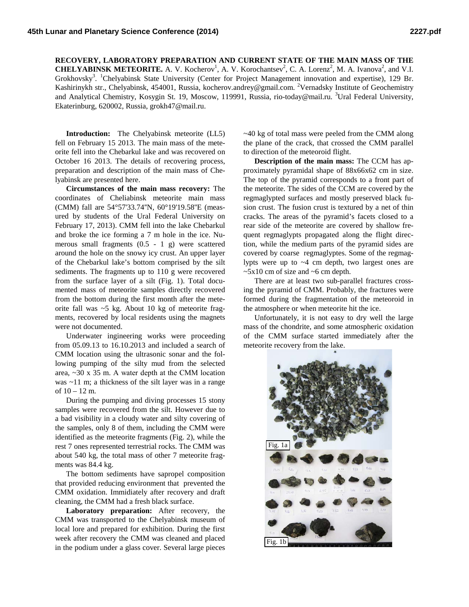**RECOVERY, LABORATORY PREPARATION AND CURRENT STATE OF THE MAIN MASS OF THE CHELYABINSK METEORITE.** A. V. Kocherov<sup>1</sup>, A. V. Korochantsev<sup>2</sup>, C. A. Lorenz<sup>2</sup>, M. A. Ivanova<sup>2</sup>, and V.I. Grokhovsky<sup>3</sup>. <sup>1</sup>Chelyabinsk State University (Center for Project Management innovation and expertise), 129 Br. Kashirinykh str., Chelyabinsk, 454001, Russia, kocherov.andrey@gmail.com. <sup>2</sup>Vernadsky Institute of Geochemistry and Analytical Chemistry, Kosygin St. 19, Moscow, 119991, Russia, rio-today@mail.ru. <sup>3</sup>Ural Federal University, Ekaterinburg, 620002, Russia, grokh47@mail.ru.

**Introduction:** The Chelyabinsk meteorite (LL5) fell on February 15 2013. The main mass of the meteorite fell into the Chebarkul lake and was recovered on October 16 2013. The details of recovering process, preparation and description of the main mass of Chelyabinsk are presented here.

**Circumstances of the main mass recovery:** The coordinates of Cheliabinsk meteorite main mass (CMM) fall are 54°57'33.74''N, 60°19'19.58''E (measured by students of the Ural Federal University on February 17, 2013). CMM fell into the lake Chebarkul and broke the ice forming a 7 m hole in the ice. Numerous small fragments (0.5 - 1 g) were scattered around the hole on the snowy icy crust. An upper layer of the Chebarkul lake's bottom comprised by the silt sediments. The fragments up to 110 g were recovered from the surface layer of a silt (Fig. 1). Total documented mass of meteorite samples directly recovered from the bottom during the first month after the meteorite fall was  $\sim$  5 kg. About 10 kg of meteorite fragments, recovered by local residents using the magnets were not documented.

Underwater ingineering works were proceeding from 05.09.13 to 16.10.2013 and included a search of CMM location using the ultrasonic sonar and the following pumping of the silty mud from the selected area, ~30 x 35 m. А water depth at the CMM location was ~11 m; a thickness of the silt layer was in a range of 10 – 12 m.

During the pumping and diving processes 15 stony samples were recovered from the silt. However due to a bad visibility in a cloudy water and silty covering of the samples, only 8 of them, including the CMM were identified as the meteorite fragments (Fig. 2), while the rest 7 ones represented terrestrial rocks. The CMM was about 540 kg, the total mass of other 7 meteorite fragments was 84.4 kg.

The bottom sediments have sapropel composition that provided reducing environment that prevented the CMM oxidation. Immidiately after recovery and draft cleaning, the CMM had a fresh black surface.

**Laboratory preparation:** After recovery, the CMM was transported to the Chelyabinsk museum of local lore and prepared for exhibition. During the first week after recovery the CMM was cleaned and placed in the podium under a glass cover. Several large pieces

~40 kg of total mass were peeled from the CMM along the plane of the crack, that crossed the CMM parallel to direction of the meteoroid flight.

**Description of the main mass:** The CCM has approximately pyramidal shape of 88x66x62 cm in size. The top of the pyramid corresponds to a front part of the meteorite. The sides of the CCM are covered by the regmaglypted surfaces and mostly preserved black fusion crust. The fusion crust is textured by a net of thin cracks. The areas of the pyramid's facets closed to a rear side of the meteorite are covered by shallow frequent regmaglypts propagated along the flight direction, while the medium parts of the pyramid sides are covered by coarse regmaglyptes. Some of the regmaglypts were up to ~4 cm depth, two largest ones are  $\sim$ 5x10 cm of size and  $\sim$ 6 cm depth.

There are at least two sub-parallel fractures crossing the pyramid of CMM. Probably, the fractures were formed during the fragmentation of the meteoroid in the atmosphere or when meteorite hit the ice.

Unfortunately, it is not easy to dry well the large mass of the chondrite, and some atmospheric oxidation of the CMM surface started immediately after the meteorite recovery from the lake.